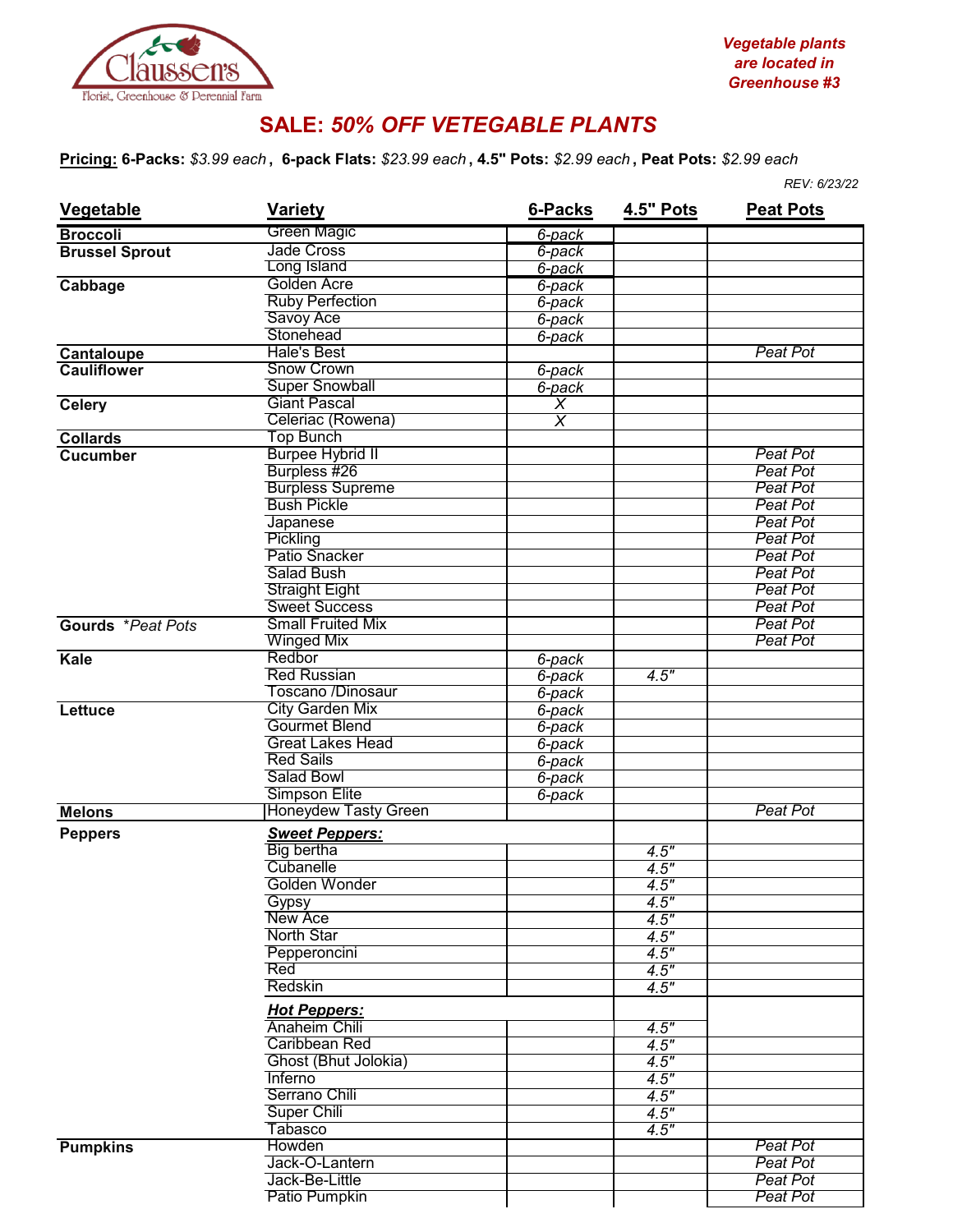

## **SALE:** *50% OFF VETEGABLE PLANTS*

**Pricing: 6-Packs:** *\$3.99 each* **, 6-pack Flats:** *\$23.99 each* **, 4.5" Pots:** *\$2.99 each* **, Peat Pots:** *\$2.99 each*

|                       |                                            |                    |                  | REV: 6/23/22     |  |
|-----------------------|--------------------------------------------|--------------------|------------------|------------------|--|
| Vegetable             | <b>Variety</b>                             | 6-Packs            | <b>4.5" Pots</b> | <b>Peat Pots</b> |  |
| <b>Broccoli</b>       | Green Magic                                | 6-pack             |                  |                  |  |
| <b>Brussel Sprout</b> | Jade Cross                                 | 6-pack             |                  |                  |  |
|                       | Long Island                                | 6-pack             |                  |                  |  |
| Cabbage               | Golden Acre                                | 6-pack             |                  |                  |  |
|                       | <b>Ruby Perfection</b>                     | 6-pack             |                  |                  |  |
|                       | Savoy Ace                                  | 6-pack             |                  |                  |  |
|                       | Stonehead                                  | 6-pack             |                  |                  |  |
| Cantaloupe            | <b>Hale's Best</b>                         |                    |                  | <b>Peat Pot</b>  |  |
| <b>Cauliflower</b>    | <b>Snow Crown</b>                          | 6-pack             |                  |                  |  |
|                       | <b>Super Snowball</b>                      | 6-pack             |                  |                  |  |
| <b>Celery</b>         | <b>Giant Pascal</b>                        | X                  |                  |                  |  |
|                       | Celeriac (Rowena)                          | $\overline{\sf x}$ |                  |                  |  |
| <b>Collards</b>       | <b>Top Bunch</b>                           |                    |                  |                  |  |
| <b>Cucumber</b>       | <b>Burpee Hybrid II</b>                    |                    |                  | Peat Pot         |  |
|                       | Burpless #26                               |                    |                  | Peat Pot         |  |
|                       | <b>Burpless Supreme</b>                    |                    |                  | Peat Pot         |  |
|                       | <b>Bush Pickle</b>                         |                    |                  | Peat Pot         |  |
|                       | Japanese                                   |                    |                  | <b>Peat Pot</b>  |  |
|                       | <b>Pickling</b>                            |                    |                  | <b>Peat Pot</b>  |  |
|                       | Patio Snacker                              |                    |                  | <b>Peat Pot</b>  |  |
|                       | <b>Salad Bush</b>                          |                    |                  | <b>Peat Pot</b>  |  |
|                       | <b>Straight Eight</b>                      |                    |                  | Peat Pot         |  |
|                       | Sweet Success                              |                    |                  | <b>Peat Pot</b>  |  |
| Gourds *Peat Pots     | <b>Small Fruited Mix</b>                   |                    |                  | Peat Pot         |  |
|                       | <b>Winged Mix</b>                          |                    |                  | <b>Peat Pot</b>  |  |
| Kale                  | Redbor                                     | 6-pack             |                  |                  |  |
|                       | <b>Red Russian</b>                         | 6-pack             | 4.5"             |                  |  |
|                       | Toscano /Dinosaur                          | 6-pack             |                  |                  |  |
| <b>Lettuce</b>        | <b>City Garden Mix</b>                     | 6-pack             |                  |                  |  |
|                       | Gourmet Blend                              | 6-pack             |                  |                  |  |
|                       | <b>Great Lakes Head</b>                    | 6-pack             |                  |                  |  |
|                       | <b>Red Sails</b>                           | 6-pack             |                  |                  |  |
|                       | <b>Salad Bowl</b>                          | 6-pack             |                  |                  |  |
|                       | <b>Simpson Elite</b>                       | 6-pack             |                  |                  |  |
| <b>Melons</b>         | <b>Honeydew Tasty Green</b>                |                    |                  | Peat Pot         |  |
|                       |                                            |                    |                  |                  |  |
| <b>Peppers</b>        | <b>Sweet Peppers:</b><br><b>Big bertha</b> |                    |                  |                  |  |
|                       | Cubanelle                                  |                    | 4.5"             |                  |  |
|                       | Golden Wonder                              |                    | 4.5"             |                  |  |
|                       |                                            |                    | 4.5"             |                  |  |
|                       | Gypsy                                      |                    | 4.5"             |                  |  |
|                       | <b>New Ace</b>                             |                    | 4.5"             |                  |  |
|                       | <b>North Star</b>                          |                    | 4.5"             |                  |  |
|                       | Pepperoncini                               |                    | 4.5"             |                  |  |
|                       | Red                                        |                    | 4.5"             |                  |  |
|                       | Redskin                                    |                    | 4.5"             |                  |  |
|                       | <b>Hot Peppers:</b>                        |                    |                  |                  |  |
|                       | Anaheim Chili                              |                    | 4.5"             |                  |  |
|                       | Caribbean Red                              |                    | 4.5"             |                  |  |
|                       | Ghost (Bhut Jolokia)                       |                    | 4.5"             |                  |  |
|                       | Inferno                                    |                    | 4.5"             |                  |  |
|                       | Serrano Chili                              |                    | 4.5"             |                  |  |
|                       | Super Chili                                |                    | 4.5"             |                  |  |
|                       | Tabasco                                    |                    | 4.5"             |                  |  |
| <b>Pumpkins</b>       | Howden                                     |                    |                  | Peat Pot         |  |
|                       | Jack-O-Lantern                             |                    |                  | Peat Pot         |  |
|                       | Jack-Be-Little                             |                    |                  | Peat Pot         |  |
|                       | Patio Pumpkin                              |                    |                  | <b>Peat Pot</b>  |  |
|                       |                                            |                    |                  |                  |  |